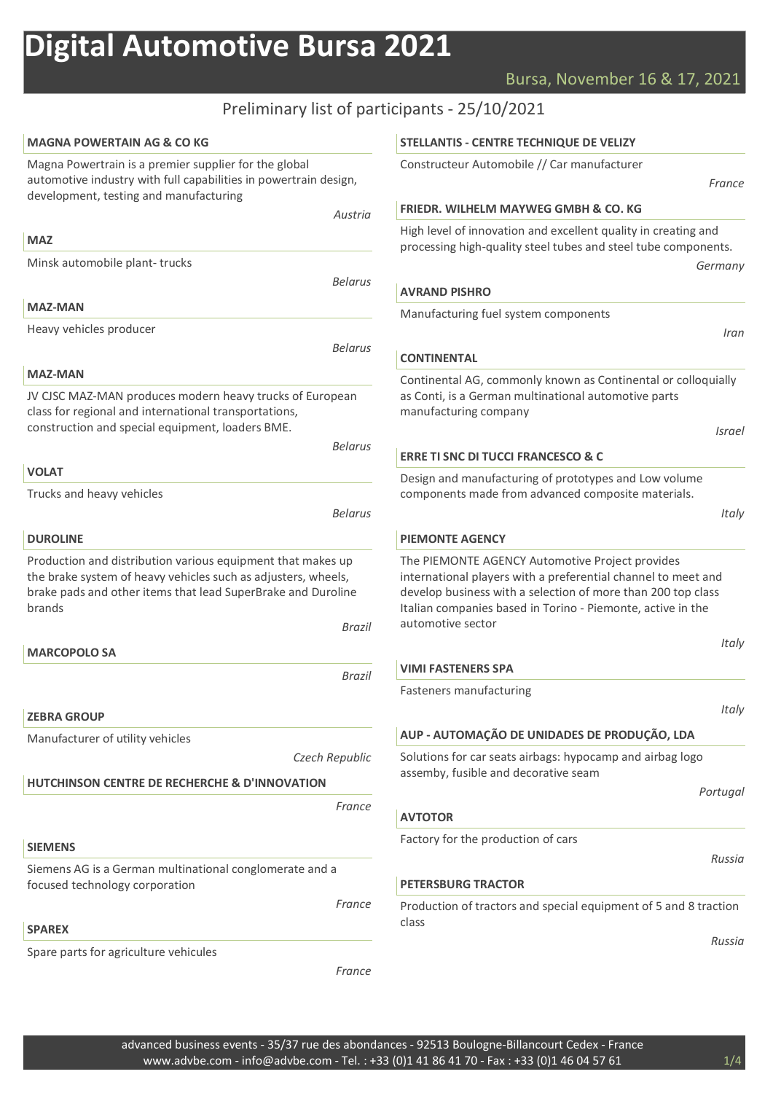# Bursa, November 16 & 17, 2021

# Preliminary list of participants - 25/10/2021

| <b>MAGNA POWERTAIN AG &amp; CO KG</b>                                                                                                                                                                                   | STELLANTIS - CENTRE TECHNIQUE DE VELIZY                                                                                                                                                                                                                              |
|-------------------------------------------------------------------------------------------------------------------------------------------------------------------------------------------------------------------------|----------------------------------------------------------------------------------------------------------------------------------------------------------------------------------------------------------------------------------------------------------------------|
| Magna Powertrain is a premier supplier for the global<br>automotive industry with full capabilities in powertrain design,                                                                                               | Constructeur Automobile // Car manufacturer<br>France                                                                                                                                                                                                                |
| development, testing and manufacturing                                                                                                                                                                                  | <b>FRIEDR. WILHELM MAYWEG GMBH &amp; CO. KG</b>                                                                                                                                                                                                                      |
| Austria                                                                                                                                                                                                                 | High level of innovation and excellent quality in creating and                                                                                                                                                                                                       |
| <b>MAZ</b>                                                                                                                                                                                                              | processing high-quality steel tubes and steel tube components.                                                                                                                                                                                                       |
| Minsk automobile plant-trucks                                                                                                                                                                                           | Germany                                                                                                                                                                                                                                                              |
| <b>Belarus</b>                                                                                                                                                                                                          | <b>AVRAND PISHRO</b>                                                                                                                                                                                                                                                 |
| <b>MAZ-MAN</b>                                                                                                                                                                                                          | Manufacturing fuel system components                                                                                                                                                                                                                                 |
| Heavy vehicles producer                                                                                                                                                                                                 | Iran                                                                                                                                                                                                                                                                 |
| <b>Belarus</b>                                                                                                                                                                                                          | <b>CONTINENTAL</b>                                                                                                                                                                                                                                                   |
| <b>MAZ-MAN</b>                                                                                                                                                                                                          | Continental AG, commonly known as Continental or colloquially                                                                                                                                                                                                        |
| JV CJSC MAZ-MAN produces modern heavy trucks of European<br>class for regional and international transportations,                                                                                                       | as Conti, is a German multinational automotive parts<br>manufacturing company                                                                                                                                                                                        |
| construction and special equipment, loaders BME.<br><b>Belarus</b>                                                                                                                                                      | Israel                                                                                                                                                                                                                                                               |
|                                                                                                                                                                                                                         | <b>ERRE TI SNC DI TUCCI FRANCESCO &amp; C</b>                                                                                                                                                                                                                        |
| <b>VOLAT</b>                                                                                                                                                                                                            | Design and manufacturing of prototypes and Low volume                                                                                                                                                                                                                |
| Trucks and heavy vehicles                                                                                                                                                                                               | components made from advanced composite materials.                                                                                                                                                                                                                   |
| <b>Belarus</b>                                                                                                                                                                                                          | Italy                                                                                                                                                                                                                                                                |
| <b>DUROLINE</b>                                                                                                                                                                                                         | <b>PIEMONTE AGENCY</b>                                                                                                                                                                                                                                               |
| Production and distribution various equipment that makes up<br>the brake system of heavy vehicles such as adjusters, wheels,<br>brake pads and other items that lead SuperBrake and Duroline<br>brands<br><b>Brazil</b> | The PIEMONTE AGENCY Automotive Project provides<br>international players with a preferential channel to meet and<br>develop business with a selection of more than 200 top class<br>Italian companies based in Torino - Piemonte, active in the<br>automotive sector |
| <b>MARCOPOLO SA</b>                                                                                                                                                                                                     | Italy                                                                                                                                                                                                                                                                |
| <b>Brazil</b>                                                                                                                                                                                                           | <b>VIMI FASTENERS SPA</b>                                                                                                                                                                                                                                            |
|                                                                                                                                                                                                                         | Fasteners manufacturing                                                                                                                                                                                                                                              |
| <b>ZEBRA GROUP</b>                                                                                                                                                                                                      | Italy                                                                                                                                                                                                                                                                |
| Manufacturer of utility vehicles                                                                                                                                                                                        | AUP - AUTOMAÇÃO DE UNIDADES DE PRODUÇÃO, LDA                                                                                                                                                                                                                         |
| Czech Republic                                                                                                                                                                                                          | Solutions for car seats airbags: hypocamp and airbag logo                                                                                                                                                                                                            |
| <b>HUTCHINSON CENTRE DE RECHERCHE &amp; D'INNOVATION</b>                                                                                                                                                                | assemby, fusible and decorative seam                                                                                                                                                                                                                                 |
|                                                                                                                                                                                                                         | Portugal                                                                                                                                                                                                                                                             |
| France                                                                                                                                                                                                                  | <b>AVTOTOR</b>                                                                                                                                                                                                                                                       |
| <b>SIEMENS</b>                                                                                                                                                                                                          | Factory for the production of cars                                                                                                                                                                                                                                   |
| Siemens AG is a German multinational conglomerate and a                                                                                                                                                                 | Russia                                                                                                                                                                                                                                                               |
| focused technology corporation                                                                                                                                                                                          | <b>PETERSBURG TRACTOR</b>                                                                                                                                                                                                                                            |
| France                                                                                                                                                                                                                  | Production of tractors and special equipment of 5 and 8 traction                                                                                                                                                                                                     |
| <b>SPAREX</b>                                                                                                                                                                                                           | class                                                                                                                                                                                                                                                                |
| Spare parts for agriculture vehicules                                                                                                                                                                                   | Russia                                                                                                                                                                                                                                                               |
| France                                                                                                                                                                                                                  |                                                                                                                                                                                                                                                                      |
|                                                                                                                                                                                                                         |                                                                                                                                                                                                                                                                      |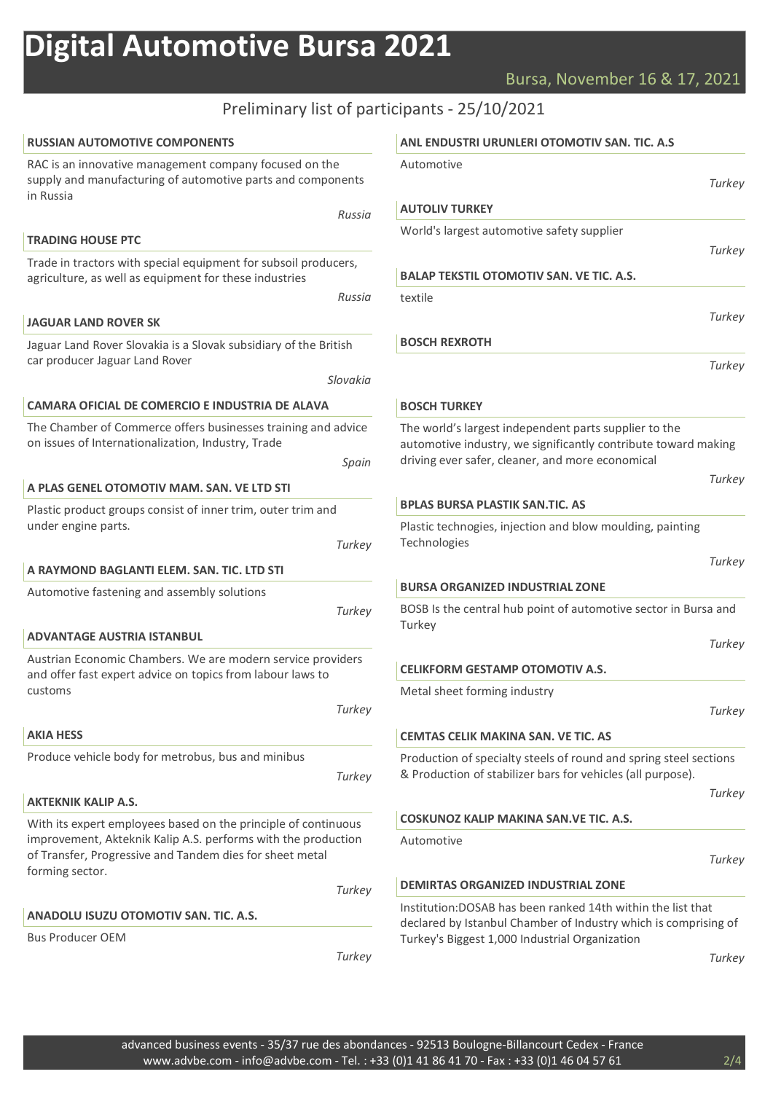## Bursa, November 16 & 17, 2021

**Turkey** 

**Turkey** 

**Turkey** 

**Turkey** 

**Turkey** 

Turkey

**Turkey** 

**Turkey** 

**Turkey** 

**Turkey** 

**Turkey** 

## Preliminary list of participants - 25/10/2021

| <b>RUSSIAN AUTOMOTIVE COMPONENTS</b>                                                                                                                                                                           |        | ANL ENDUSTRI URUNLERI OTOMOTIV SAN. TIC. A.S                                                                                                                                     |
|----------------------------------------------------------------------------------------------------------------------------------------------------------------------------------------------------------------|--------|----------------------------------------------------------------------------------------------------------------------------------------------------------------------------------|
| RAC is an innovative management company focused on the<br>supply and manufacturing of automotive parts and components<br>in Russia                                                                             |        | Automotive<br>Turke                                                                                                                                                              |
|                                                                                                                                                                                                                | Russia | <b>AUTOLIV TURKEY</b>                                                                                                                                                            |
| <b>TRADING HOUSE PTC</b>                                                                                                                                                                                       |        | World's largest automotive safety supplier                                                                                                                                       |
| Trade in tractors with special equipment for subsoil producers,                                                                                                                                                |        | Turke                                                                                                                                                                            |
| agriculture, as well as equipment for these industries                                                                                                                                                         |        | <b>BALAP TEKSTIL OTOMOTIV SAN. VE TIC. A.S.</b>                                                                                                                                  |
|                                                                                                                                                                                                                | Russia | textile                                                                                                                                                                          |
| <b>JAGUAR LAND ROVER SK</b>                                                                                                                                                                                    |        | Turke                                                                                                                                                                            |
| Jaguar Land Rover Slovakia is a Slovak subsidiary of the British<br>car producer Jaguar Land Rover<br>Slovakia                                                                                                 |        | <b>BOSCH REXROTH</b>                                                                                                                                                             |
|                                                                                                                                                                                                                |        | Turke                                                                                                                                                                            |
|                                                                                                                                                                                                                |        |                                                                                                                                                                                  |
| CAMARA OFICIAL DE COMERCIO E INDUSTRIA DE ALAVA                                                                                                                                                                |        | <b>BOSCH TURKEY</b>                                                                                                                                                              |
| The Chamber of Commerce offers businesses training and advice<br>on issues of Internationalization, Industry, Trade                                                                                            | Spain  | The world's largest independent parts supplier to the<br>automotive industry, we significantly contribute toward making<br>driving ever safer, cleaner, and more economical      |
| A PLAS GENEL OTOMOTIV MAM. SAN. VE LTD STI                                                                                                                                                                     |        | Turke                                                                                                                                                                            |
| Plastic product groups consist of inner trim, outer trim and                                                                                                                                                   |        | <b>BPLAS BURSA PLASTIK SAN.TIC. AS</b>                                                                                                                                           |
| under engine parts.                                                                                                                                                                                            | Turkey | Plastic technogies, injection and blow moulding, painting<br>Technologies                                                                                                        |
| A RAYMOND BAGLANTI ELEM. SAN. TIC. LTD STI                                                                                                                                                                     |        | Turke                                                                                                                                                                            |
| Automotive fastening and assembly solutions                                                                                                                                                                    |        | <b>BURSA ORGANIZED INDUSTRIAL ZONE</b>                                                                                                                                           |
|                                                                                                                                                                                                                | Turkey | BOSB Is the central hub point of automotive sector in Bursa and<br>Turkey                                                                                                        |
| <b>ADVANTAGE AUSTRIA ISTANBUL</b>                                                                                                                                                                              |        | Turke                                                                                                                                                                            |
| Austrian Economic Chambers. We are modern service providers<br>and offer fast expert advice on topics from labour laws to                                                                                      |        | <b>CELIKFORM GESTAMP OTOMOTIV A.S.</b>                                                                                                                                           |
| customs                                                                                                                                                                                                        |        | Metal sheet forming industry                                                                                                                                                     |
|                                                                                                                                                                                                                | Turkey | Turke                                                                                                                                                                            |
| <b>AKIA HESS</b>                                                                                                                                                                                               |        | <b>CEMTAS CELIK MAKINA SAN. VE TIC. AS</b>                                                                                                                                       |
| Produce vehicle body for metrobus, bus and minibus                                                                                                                                                             | Turkey | Production of specialty steels of round and spring steel sections<br>& Production of stabilizer bars for vehicles (all purpose).                                                 |
| <b>AKTEKNIK KALIP A.S.</b>                                                                                                                                                                                     |        | Turke                                                                                                                                                                            |
| With its expert employees based on the principle of continuous<br>improvement, Akteknik Kalip A.S. performs with the production<br>of Transfer, Progressive and Tandem dies for sheet metal<br>forming sector. |        | COSKUNOZ KALIP MAKINA SAN. VE TIC. A.S.                                                                                                                                          |
|                                                                                                                                                                                                                |        | Automotive<br>Turke                                                                                                                                                              |
|                                                                                                                                                                                                                | Turkey | <b>DEMIRTAS ORGANIZED INDUSTRIAL ZONE</b>                                                                                                                                        |
| ANADOLU ISUZU OTOMOTIV SAN. TIC. A.S.<br><b>Bus Producer OEM</b>                                                                                                                                               |        | Institution:DOSAB has been ranked 14th within the list that<br>declared by Istanbul Chamber of Industry which is comprising of<br>Turkey's Biggest 1,000 Industrial Organization |
|                                                                                                                                                                                                                | Turkey | Turke                                                                                                                                                                            |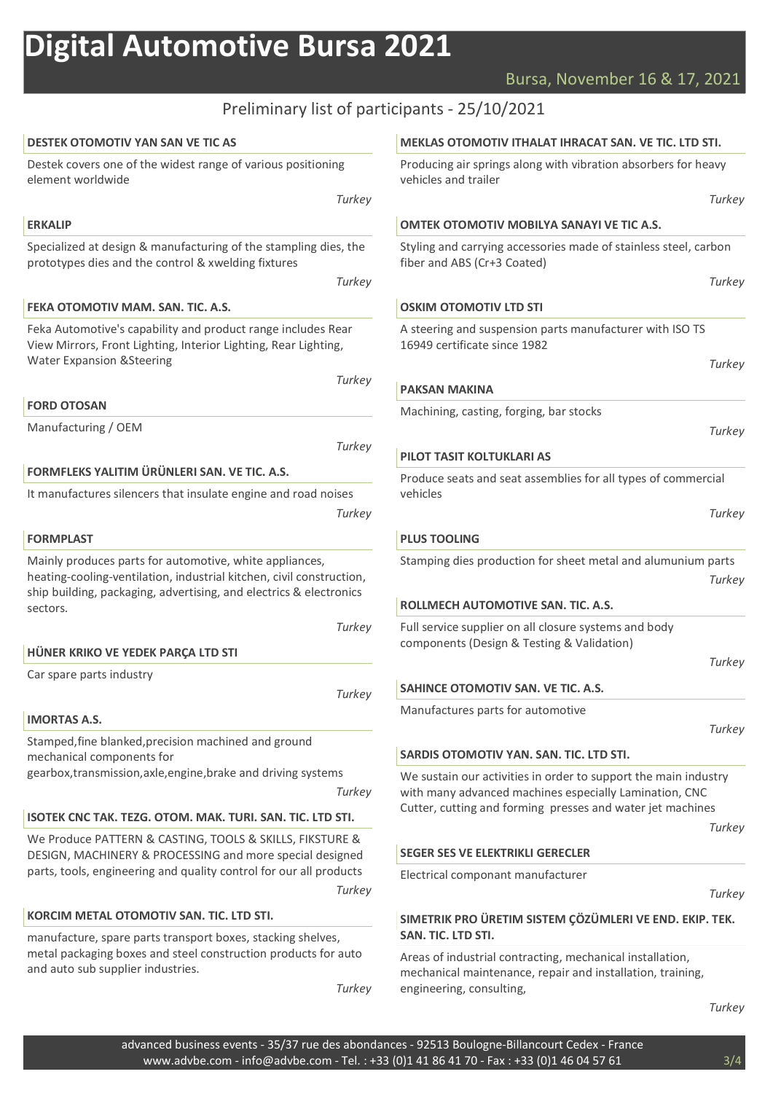## Rursal November 16 & 17, 2021

|                                                                                                                                                               | Bursa,                                                       |  |  |
|---------------------------------------------------------------------------------------------------------------------------------------------------------------|--------------------------------------------------------------|--|--|
|                                                                                                                                                               | Preliminary list of participants - 25/10/2021                |  |  |
| <b>DESTEK OTOMOTIV YAN SAN VE TIC AS</b>                                                                                                                      | <b>MEKLAS OTOMOTIV ITHALA</b>                                |  |  |
| Destek covers one of the widest range of various positioning<br>element worldwide                                                                             | Producing air springs along w<br>vehicles and trailer        |  |  |
| Turkey                                                                                                                                                        |                                                              |  |  |
| <b>ERKALIP</b>                                                                                                                                                | <b>OMTEK OTOMOTIV MOBILY</b>                                 |  |  |
| Specialized at design & manufacturing of the stampling dies, the<br>prototypes dies and the control & xwelding fixtures                                       | Styling and carrying accessor<br>fiber and ABS (Cr+3 Coated) |  |  |
| Turkey                                                                                                                                                        |                                                              |  |  |
| FEKA OTOMOTIV MAM. SAN. TIC. A.S.                                                                                                                             | <b>OSKIM OTOMOTIV LTD STI</b>                                |  |  |
| Feka Automotive's capability and product range includes Rear<br>View Mirrors, Front Lighting, Interior Lighting, Rear Lighting,<br>Water Expansion & Steering | A steering and suspension pa<br>16949 certificate since 1982 |  |  |

Feka Automotive's capability and product range in Feka View Mirrors, Front Lig Water Expansion &Steering **Turkey** 

FORD OTOSAN

Manufacturing / OEM

**Turkey** 

#### FORMFLEKS YALITIM ÜRÜNLERI SAN. VE TIC. A.S.

It manufactures silencers that insulate engine and road noises

**Turkey** 

#### FORMPLAST

Mainly produces parts for automotive, white appliances, heating-cooling-ventilation, industrial kitchen, civil construction, ship building, packaging, advertising, and electrics & electronics sectors.

**Turkey** 

#### HÜNER KRIKO VE YEDEK PARÇA LTD STI

Car spare parts industry

**Turkey** 

### IMORTAS A.S.

Stamped,fine blanked,precision machined and ground mechanical components for gearbox,transmission,axle,engine,brake and driving systems

**Turkey** 

## ISOTEK CNC TAK. TEZG. OTOM. MAK. TURI. SAN. TIC. LTD STI.

We Produce PATTERN & CASTING, TOOLS & SKILLS, FIKSTURE & DESIGN, MACHINERY & PROCESSING and more special designed parts, tools, engineering and quality control for our all products **Turkey** 

## KORCIM METAL OTOMOTIV SAN. TIC. LTD STI.

manufacture, spare parts transport boxes, stacking shelves, metal packaging boxes and steel construction products for auto and auto sub supplier industries.

**Turkey** 

#### T IHRACAT SAN. VE TIC. LTD STI.

vith vibration absorbers for heavy

### A SANAYI VE TIC A.S.

ies made of stainless steel, carbon

**Turkey** 

**Turkey** 

arts manufacturer with ISO TS

**Turkey** 

#### PAKSAN MAKINA

Machining, casting, forging, bar stocks

**Turkey** 

#### PILOT TASIT KOLTUKLARI AS

Produce seats and seat assemblies for all types of commercial vehicles

**Turkey** 

#### PLUS TOOLING

Stamping dies production for sheet metal and alumunium parts **Turkey** 

#### ROLLMECH AUTOMOTIVE SAN. TIC. A.S.

Full service supplier on all closure systems and body components (Design & Testing & Validation)

**Turkey** 

### SAHINCE OTOMOTIV SAN. VE TIC. A.S.

Manufactures parts for automotive

| e e<br>٠ |  |
|----------|--|
|          |  |

#### SARDIS OTOMOTIV YAN. SAN. TIC. LTD STI.

We sustain our activities in order to support the main industry with many advanced machines especially Lamination, CNC Cutter, cutting and forming presses and water jet machines

**Turkey** 

#### SEGER SES VE ELEKTRIKLI GERECLER

Electrical componant manufacturer

**Turkey** 

### SIMETRIK PRO ÜRETIM SISTEM ÇÖZÜMLERI VE END. EKIP. TEK. SAN. TIC. LTD STI.

Areas of industrial contracting, mechanical installation, mechanical maintenance, repair and installation, training, engineering, consulting,